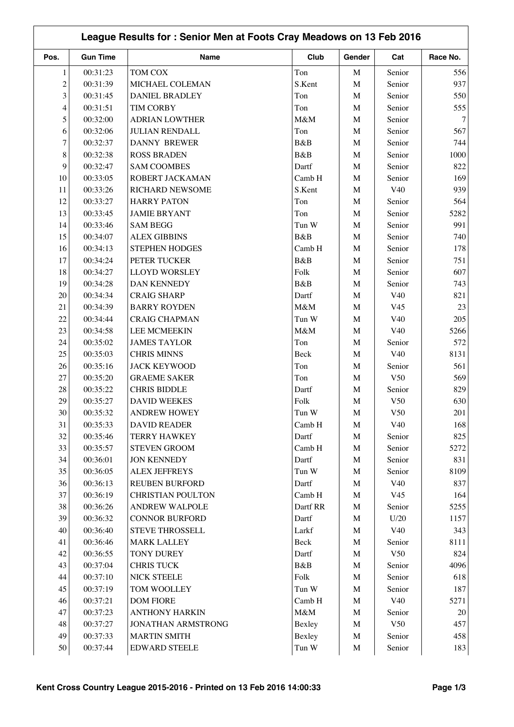|                |                 |                          |          |             |                 | League Results for: Senior Men at Foots Cray Meadows on 13 Feb 2016 |
|----------------|-----------------|--------------------------|----------|-------------|-----------------|---------------------------------------------------------------------|
| Pos.           | <b>Gun Time</b> | <b>Name</b>              | Club     | Gender      | Cat             | Race No.                                                            |
| 1              | 00:31:23        | TOM COX                  | Ton      | $\mathbf M$ | Senior          | 556                                                                 |
| $\overline{c}$ | 00:31:39        | MICHAEL COLEMAN          | S.Kent   | $\mathbf M$ | Senior          | 937                                                                 |
| 3              | 00:31:45        | <b>DANIEL BRADLEY</b>    | Ton      | M           | Senior          | 550                                                                 |
| 4              | 00:31:51        | <b>TIM CORBY</b>         | Ton      | M           | Senior          | 555                                                                 |
| 5              | 00:32:00        | <b>ADRIAN LOWTHER</b>    | M&M      | $\mathbf M$ | Senior          |                                                                     |
| 6              | 00:32:06        | <b>JULIAN RENDALL</b>    | Ton      | $\mathbf M$ | Senior          | 567                                                                 |
| 7              | 00:32:37        | <b>DANNY BREWER</b>      | B&B      | $\mathbf M$ | Senior          | 744                                                                 |
| 8              | 00:32:38        | <b>ROSS BRADEN</b>       | B&B      | M           | Senior          | 1000                                                                |
| 9              | 00:32:47        | <b>SAM COOMBES</b>       | Dartf    | $\mathbf M$ | Senior          | 822                                                                 |
| 10             | 00:33:05        | ROBERT JACKAMAN          | Camb H   | M           | Senior          | 169                                                                 |
| 11             | 00:33:26        | RICHARD NEWSOME          | S.Kent   | $\mathbf M$ | V40             | 939                                                                 |
| 12             | 00:33:27        | <b>HARRY PATON</b>       | Ton      | $\mathbf M$ | Senior          | 564                                                                 |
| 13             | 00:33:45        | <b>JAMIE BRYANT</b>      | Ton      | $\mathbf M$ | Senior          | 5282                                                                |
| 14             | 00:33:46        | <b>SAM BEGG</b>          | Tun W    | $\mathbf M$ | Senior          | 991                                                                 |
| 15             | 00:34:07        | <b>ALEX GIBBINS</b>      | B&B      | M           | Senior          | 740                                                                 |
| 16             | 00:34:13        | STEPHEN HODGES           | Camb H   | $\mathbf M$ | Senior          | 178                                                                 |
| 17             | 00:34:24        | PETER TUCKER             | B&B      | M           | Senior          | 751                                                                 |
| 18             | 00:34:27        | <b>LLOYD WORSLEY</b>     | Folk     | M           | Senior          | 607                                                                 |
| 19             | 00:34:28        | DAN KENNEDY              | B&B      | $\mathbf M$ | Senior          | 743                                                                 |
| 20             | 00:34:34        | <b>CRAIG SHARP</b>       | Dartf    | $\mathbf M$ | V40             | 821                                                                 |
| 21             | 00:34:39        | <b>BARRY ROYDEN</b>      | M&M      | $\mathbf M$ | V <sub>45</sub> |                                                                     |
| 22             | 00:34:44        | <b>CRAIG CHAPMAN</b>     | Tun W    | $\mathbf M$ | V40             | 205                                                                 |
| 23             | 00:34:58        | <b>LEE MCMEEKIN</b>      | M&M      | M           | V <sub>40</sub> | 5266                                                                |
| 24             | 00:35:02        | <b>JAMES TAYLOR</b>      | Ton      | $\mathbf M$ | Senior          | 572                                                                 |
| 25             | 00:35:03        | <b>CHRIS MINNS</b>       | Beck     |             | V40             | 8131                                                                |
| 26             | 00:35:16        |                          | Ton      | M           | Senior          | 561                                                                 |
|                |                 | <b>JACK KEYWOOD</b>      |          | M           |                 |                                                                     |
| 27             | 00:35:20        | <b>GRAEME SAKER</b>      | Ton      | M           | V50             | 569                                                                 |
| $28\,$         | 00:35:22        | <b>CHRIS BIDDLE</b>      | Dartf    | $\mathbf M$ | Senior          | 829                                                                 |
| 29             | 00:35:27        | <b>DAVID WEEKES</b>      | Folk     | $\mathbf M$ | V50             | 630                                                                 |
| $30\,$         | 00:35:32        | <b>ANDREW HOWEY</b>      | Tun W    | M           | V50             | $201\,$                                                             |
| 31             | 00:35:33        | <b>DAVID READER</b>      | Camb H   | M           | V40             | 168                                                                 |
| 32             | 00:35:46        | <b>TERRY HAWKEY</b>      | Dartf    | $\mathbf M$ | Senior          | 825                                                                 |
| 33             | 00:35:57        | <b>STEVEN GROOM</b>      | Camb H   | $\mathbf M$ | Senior          | 5272                                                                |
| 34             | 00:36:01        | <b>JON KENNEDY</b>       | Dartf    | $\mathbf M$ | Senior          | 831                                                                 |
| 35             | 00:36:05        | <b>ALEX JEFFREYS</b>     | Tun W    | $\mathbf M$ | Senior          | 8109                                                                |
| 36             | 00:36:13        | <b>REUBEN BURFORD</b>    | Dartf    | $\mathbf M$ | V40             | 837                                                                 |
| 37             | 00:36:19        | <b>CHRISTIAN POULTON</b> | Camb H   | M           | V <sub>45</sub> | 164                                                                 |
| 38             | 00:36:26        | <b>ANDREW WALPOLE</b>    | Dartf RR | $\mathbf M$ | Senior          | 5255                                                                |
| 39             | 00:36:32        | <b>CONNOR BURFORD</b>    | Dartf    | $\mathbf M$ | U/20            | 1157                                                                |
| 40             | 00:36:40        | STEVE THROSSELL          | Larkf    | $\mathbf M$ | V40             | 343                                                                 |
| 41             | 00:36:46        | <b>MARK LALLEY</b>       | Beck     | $\mathbf M$ | Senior          | 8111                                                                |
| 42             | 00:36:55        | TONY DUREY               | Dartf    | $\mathbf M$ | V50             | 824                                                                 |
| 43             | 00:37:04        | <b>CHRIS TUCK</b>        | B&B      | $\mathbf M$ | Senior          | 4096                                                                |
| 44             | 00:37:10        | <b>NICK STEELE</b>       | Folk     | $\mathbf M$ | Senior          | 618                                                                 |
| 45             | 00:37:19        | TOM WOOLLEY              | Tun W    | $\mathbf M$ | Senior          | 187                                                                 |
| 46             | 00:37:21        | <b>DOM FIORE</b>         | Camb H   | $\mathbf M$ | V40             | 5271                                                                |
| 47             | 00:37:23        | <b>ANTHONY HARKIN</b>    | $M\&M$   | $\mathbf M$ | Senior          |                                                                     |
| 48             | 00:37:27        | JONATHAN ARMSTRONG       | Bexley   | $\mathbf M$ | V50             | 457                                                                 |
| 49             | 00:37:33        | <b>MARTIN SMITH</b>      | Bexley   | $\mathbf M$ | Senior          | 458                                                                 |
| 50             | 00:37:44        | <b>EDWARD STEELE</b>     | Tun W    | $\mathbf M$ | Senior          | 183                                                                 |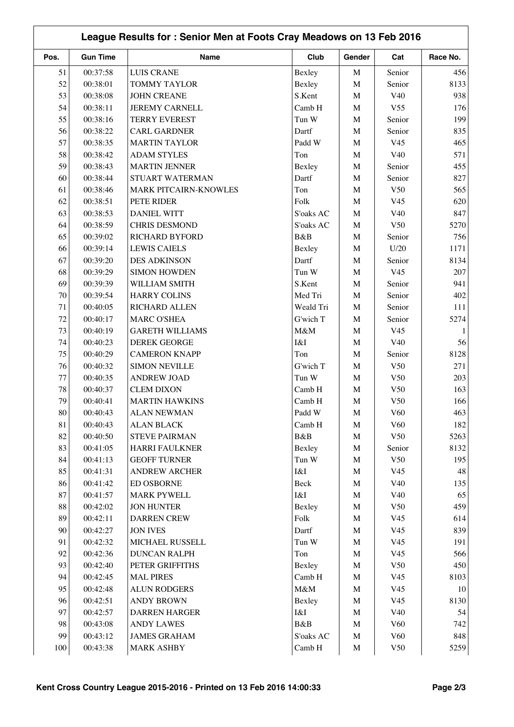| League Results for: Senior Men at Foots Cray Meadows on 13 Feb 2016 |                 |                        |                  |             |                 |          |
|---------------------------------------------------------------------|-----------------|------------------------|------------------|-------------|-----------------|----------|
| Pos.                                                                | <b>Gun Time</b> | <b>Name</b>            | Club             | Gender      | Cat             | Race No. |
| 51                                                                  | 00:37:58        | <b>LUIS CRANE</b>      | Bexley           | $\mathbf M$ | Senior          | 456      |
| 52                                                                  | 00:38:01        | <b>TOMMY TAYLOR</b>    | Bexley           | M           | Senior          | 8133     |
| 53                                                                  | 00:38:08        | <b>JOHN CREANE</b>     | S.Kent           | $\mathbf M$ | V40             | 938      |
| 54                                                                  | 00:38:11        | <b>JEREMY CARNELL</b>  | Camb H           | $\mathbf M$ | V <sub>55</sub> | 176      |
| 55                                                                  | 00:38:16        | <b>TERRY EVEREST</b>   | Tun W            | $\mathbf M$ | Senior          | 199      |
| 56                                                                  | 00:38:22        | <b>CARL GARDNER</b>    | Dartf            | $\mathbf M$ | Senior          | 835      |
| 57                                                                  | 00:38:35        | <b>MARTIN TAYLOR</b>   | Padd W           | $\mathbf M$ | V <sub>45</sub> | 465      |
| 58                                                                  | 00:38:42        | <b>ADAM STYLES</b>     | Ton              | $\mathbf M$ | V <sub>40</sub> | 571      |
| 59                                                                  | 00:38:43        | <b>MARTIN JENNER</b>   | Bexley           | $\mathbf M$ | Senior          | 455      |
| 60                                                                  | 00:38:44        | STUART WATERMAN        | Dartf            | M           | Senior          | 827      |
| 61                                                                  | 00:38:46        | MARK PITCAIRN-KNOWLES  | Ton              | M           | V <sub>50</sub> | 565      |
| 62                                                                  | 00:38:51        | PETE RIDER             | Folk             | $\mathbf M$ | V <sub>45</sub> | 620      |
| 63                                                                  | 00:38:53        | <b>DANIEL WITT</b>     | S'oaks AC        | $\mathbf M$ | V40             | 847      |
| 64                                                                  | 00:38:59        | <b>CHRIS DESMOND</b>   | S'oaks AC        | M           | V50             | 5270     |
| 65                                                                  | 00:39:02        | <b>RICHARD BYFORD</b>  | B&B              | $\mathbf M$ | Senior          | 756      |
| 66                                                                  | 00:39:14        | <b>LEWIS CAIELS</b>    | Bexley           | $\mathbf M$ | U/20            | 1171     |
| 67                                                                  | 00:39:20        | <b>DES ADKINSON</b>    | Dartf            | M           | Senior          | 8134     |
| 68                                                                  | 00:39:29        | <b>SIMON HOWDEN</b>    | Tun W            | $\mathbf M$ | V <sub>45</sub> | 207      |
| 69                                                                  | 00:39:39        | WILLIAM SMITH          | S.Kent           | $\mathbf M$ | Senior          | 941      |
| 70                                                                  | 00:39:54        | <b>HARRY COLINS</b>    | Med Tri          | $\mathbf M$ | Senior          | 402      |
| 71                                                                  | 00:40:05        | RICHARD ALLEN          | Weald Tri        | $\mathbf M$ | Senior          | 111      |
| 72                                                                  | 00:40:17        | <b>MARC O'SHEA</b>     | G'wich T         | $\mathbf M$ | Senior          | 5274     |
| 73                                                                  | 00:40:19        | <b>GARETH WILLIAMS</b> | M&M              | $\mathbf M$ | V <sub>45</sub> |          |
| 74                                                                  | 00:40:23        | <b>DEREK GEORGE</b>    | I&I              | $\mathbf M$ | V40             | 56       |
| 75                                                                  | 00:40:29        | <b>CAMERON KNAPP</b>   | Ton              | M           | Senior          | 8128     |
| 76                                                                  | 00:40:32        | <b>SIMON NEVILLE</b>   | G'wich T         | M           | V50             | 271      |
| 77                                                                  | 00:40:35        | <b>ANDREW JOAD</b>     | Tun W            | $\mathbf M$ | V50             | 203      |
| 78                                                                  | 00:40:37        | <b>CLEM DIXON</b>      | Camb H           | $\mathbf M$ | V50             | 163      |
| 79                                                                  | 00:40:41        | <b>MARTIN HAWKINS</b>  | Camb H           | $\mathbf M$ | V50             | 166      |
| $80\,$                                                              |                 |                        |                  |             | V60             |          |
|                                                                     | 00:40:43        | <b>ALAN NEWMAN</b>     | Padd W<br>Camb H | M           |                 | 463      |
| 81                                                                  | 00:40:43        | <b>ALAN BLACK</b>      |                  | M           | V <sub>60</sub> | 182      |
| 82<br>83                                                            | 00:40:50        | <b>STEVE PAIRMAN</b>   | B&B              | $\mathbf M$ | V50             | 5263     |
|                                                                     | 00:41:05        | <b>HARRI FAULKNER</b>  | Bexley           | $\mathbf M$ | Senior          | 8132     |
| 84                                                                  | 00:41:13        | <b>GEOFF TURNER</b>    | Tun W            | $\mathbf M$ | V50             | 195      |
| 85                                                                  | 00:41:31        | <b>ANDREW ARCHER</b>   | $I\&I$           | $\mathbf M$ | V45             | 48       |
| 86                                                                  | 00:41:42        | <b>ED OSBORNE</b>      | Beck             | $\mathbf M$ | V40             | 135      |
| 87                                                                  | 00:41:57        | <b>MARK PYWELL</b>     | I&I              | $\mathbf M$ | V40             | 65       |
| 88                                                                  | 00:42:02        | <b>JON HUNTER</b>      | Bexley           | $\mathbf M$ | V50             | 459      |
| 89                                                                  | 00:42:11        | <b>DARREN CREW</b>     | Folk             | $\mathbf M$ | V45             | 614      |
| 90                                                                  | 00:42:27        | <b>JON IVES</b>        | Dartf            | $\mathbf M$ | V <sub>45</sub> | 839      |
| 91                                                                  | 00:42:32        | MICHAEL RUSSELL        | Tun W            | $\mathbf M$ | V <sub>45</sub> | 191      |
| 92                                                                  | 00:42:36        | <b>DUNCAN RALPH</b>    | Ton              | $\mathbf M$ | V45             | 566      |
| 93                                                                  | 00:42:40        | PETER GRIFFITHS        | Bexley           | $\mathbf M$ | V50             | 450      |
| 94                                                                  | 00:42:45        | <b>MAL PIRES</b>       | Camb H           | $\mathbf M$ | V45             | 8103     |
| 95                                                                  | 00:42:48        | <b>ALUN RODGERS</b>    | $M\&M$           | $\mathbf M$ | V <sub>45</sub> | 10       |
| 96                                                                  | 00:42:51        | <b>ANDY BROWN</b>      | Bexley           | $\mathbf M$ | V45             | 8130     |
| 97                                                                  | 00:42:57        | DARREN HARGER          | I&I              | $\mathbf M$ | V40             | 54       |
| 98                                                                  | 00:43:08        | <b>ANDY LAWES</b>      | B&B              | $\mathbf M$ | V60             | 742      |
| 99                                                                  | 00:43:12        | <b>JAMES GRAHAM</b>    | S'oaks AC        | $\mathbf M$ | V <sub>60</sub> | 848      |
| 100                                                                 | 00:43:38        | <b>MARK ASHBY</b>      | Camb H           | $\mathbf M$ | V50             | 5259     |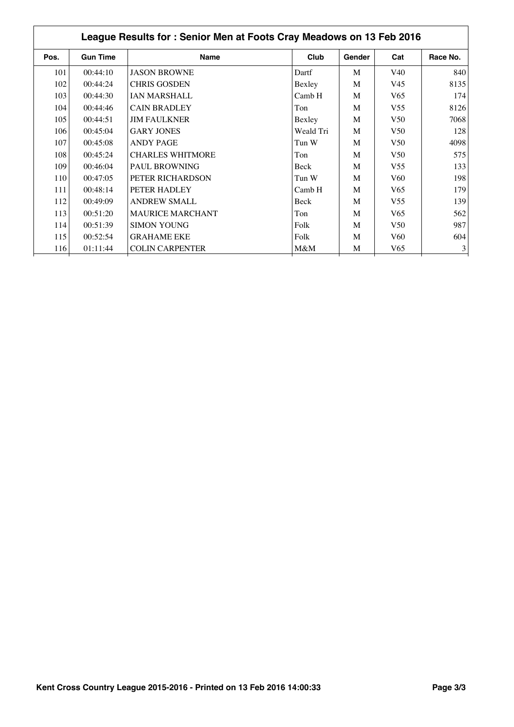| League Results for: Senior Men at Foots Cray Meadows on 13 Feb 2016 |                 |                         |           |        |                 |          |
|---------------------------------------------------------------------|-----------------|-------------------------|-----------|--------|-----------------|----------|
| Pos.                                                                | <b>Gun Time</b> | <b>Name</b>             | Club      | Gender | Cat             | Race No. |
| 101                                                                 | 00:44:10        | <b>JASON BROWNE</b>     | Dartf     | M      | V <sub>40</sub> | 840      |
| 102                                                                 | 00:44:24        | <b>CHRIS GOSDEN</b>     | Bexley    | M      | V <sub>45</sub> | 8135     |
| 103                                                                 | 00:44:30        | <b>IAN MARSHALL</b>     | Camb H    | M      | V <sub>65</sub> | 174      |
| 104                                                                 | 00:44:46        | <b>CAIN BRADLEY</b>     | Ton       | M      | V <sub>55</sub> | 8126     |
| 105                                                                 | 00:44:51        | <b>JIM FAULKNER</b>     | Bexley    | M      | V <sub>50</sub> | 7068     |
| 106                                                                 | 00:45:04        | <b>GARY JONES</b>       | Weald Tri | M      | V <sub>50</sub> | 128      |
| 107                                                                 | 00:45:08        | <b>ANDY PAGE</b>        | Tun W     | M      | V <sub>50</sub> | 4098     |
| 108                                                                 | 00:45:24        | <b>CHARLES WHITMORE</b> | Ton       | M      | V <sub>50</sub> | 575      |
| 109                                                                 | 00:46:04        | <b>PAUL BROWNING</b>    | Beck      | M      | V <sub>55</sub> | 133      |
| 110                                                                 | 00:47:05        | PETER RICHARDSON        | Tun W     | M      | V <sub>60</sub> | 198      |
| 111                                                                 | 00:48:14        | PETER HADLEY            | Camb H    | M      | V <sub>65</sub> | 179      |
| 112                                                                 | 00:49:09        | <b>ANDREW SMALL</b>     | Beck      | M      | V <sub>55</sub> | 139      |
| 113                                                                 | 00:51:20        | <b>MAURICE MARCHANT</b> | Ton       | M      | V <sub>65</sub> | 562      |
| 114                                                                 | 00:51:39        | <b>SIMON YOUNG</b>      | Folk      | M      | V50             | 987      |
| 115                                                                 | 00:52:54        | <b>GRAHAME EKE</b>      | Folk      | M      | V <sub>60</sub> | 604      |
| 116                                                                 | 01:11:44        | <b>COLIN CARPENTER</b>  | M&M       | M      | V65             | 3        |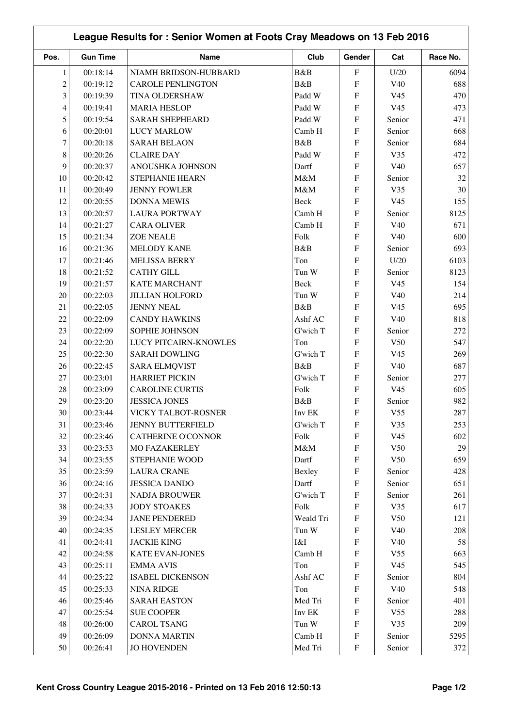|                | League Results for: Senior Women at Foots Cray Meadows on 13 Feb 2016 |                          |           |                           |                 |          |  |
|----------------|-----------------------------------------------------------------------|--------------------------|-----------|---------------------------|-----------------|----------|--|
| Pos.           | <b>Gun Time</b>                                                       | Name                     | Club      | Gender                    | Cat             | Race No. |  |
| $\mathbf{1}$   | 00:18:14                                                              | NIAMH BRIDSON-HUBBARD    | B&B       | ${\bf F}$                 | U/20            | 6094     |  |
| $\overline{c}$ | 00:19:12                                                              | <b>CAROLE PENLINGTON</b> | B&B       | ${\bf F}$                 | V40             | 688      |  |
| 3              | 00:19:39                                                              | TINA OLDERSHAW           | Padd W    | F                         | V <sub>45</sub> | 470      |  |
| 4              | 00:19:41                                                              | <b>MARIA HESLOP</b>      | Padd W    | ${\bf F}$                 | V <sub>45</sub> | 473      |  |
| 5              | 00:19:54                                                              | <b>SARAH SHEPHEARD</b>   | Padd W    | ${\bf F}$                 | Senior          | 471      |  |
| 6              | 00:20:01                                                              | <b>LUCY MARLOW</b>       | Camb H    | ${\bf F}$                 | Senior          | 668      |  |
| $\overline{7}$ | 00:20:18                                                              | <b>SARAH BELAON</b>      | B&B       | ${\bf F}$                 | Senior          | 684      |  |
| 8              | 00:20:26                                                              | <b>CLAIRE DAY</b>        | Padd W    | ${\bf F}$                 | V35             | 472      |  |
| 9              | 00:20:37                                                              | ANOUSHKA JOHNSON         | Dartf     | ${\bf F}$                 | V40             | 657      |  |
| 10             | 00:20:42                                                              | STEPHANIE HEARN          | M&M       | ${\bf F}$                 | Senior          | 32       |  |
| 11             | 00:20:49                                                              | <b>JENNY FOWLER</b>      | M&M       | $\overline{F}$            | V35             | 30       |  |
| 12             | 00:20:55                                                              | <b>DONNA MEWIS</b>       | Beck      | $\overline{F}$            | V <sub>45</sub> | 155      |  |
| 13             | 00:20:57                                                              | <b>LAURA PORTWAY</b>     | Camb H    | $\overline{F}$            | Senior          | 8125     |  |
| 14             | 00:21:27                                                              | <b>CARA OLIVER</b>       | Camb H    | $\overline{F}$            | V <sub>40</sub> | 671      |  |
| 15             | 00:21:34                                                              | <b>ZOE NEALE</b>         | Folk      | ${\bf F}$                 | V <sub>40</sub> | 600      |  |
| 16             | 00:21:36                                                              | <b>MELODY KANE</b>       | B&B       | ${\bf F}$                 | Senior          | 693      |  |
| 17             | 00:21:46                                                              | <b>MELISSA BERRY</b>     | Ton       | $\boldsymbol{\mathrm{F}}$ | U/20            | 6103     |  |
| 18             | 00:21:52                                                              | <b>CATHY GILL</b>        | Tun W     | ${\bf F}$                 | Senior          | 8123     |  |
| 19             | 00:21:57                                                              | <b>KATE MARCHANT</b>     | Beck      | ${\bf F}$                 | V <sub>45</sub> | 154      |  |
| 20             | 00:22:03                                                              | <b>JILLIAN HOLFORD</b>   | Tun W     | F                         | V40             | 214      |  |
| 21             | 00:22:05                                                              | <b>JENNY NEAL</b>        | B&B       | F                         | V <sub>45</sub> | 695      |  |
| 22             | 00:22:09                                                              | <b>CANDY HAWKINS</b>     | Ashf AC   | $\mathbf F$               | V <sub>40</sub> | 818      |  |
| 23             | 00:22:09                                                              | SOPHIE JOHNSON           | G'wich T  | ${\bf F}$                 | Senior          | 272      |  |
| 24             | 00:22:20                                                              | LUCY PITCAIRN-KNOWLES    | Ton       | ${\bf F}$                 | V <sub>50</sub> | 547      |  |
| 25             | 00:22:30                                                              | <b>SARAH DOWLING</b>     | G'wich T  | ${\bf F}$                 | V <sub>45</sub> | 269      |  |
| 26             | 00:22:45                                                              | <b>SARA ELMQVIST</b>     | B&B       | F                         | V <sub>40</sub> | 687      |  |
| 27             | 00:23:01                                                              | <b>HARRIET PICKIN</b>    | G'wich T  | $\overline{F}$            | Senior          | 277      |  |
| 28             | 00:23:09                                                              | <b>CAROLINE CURTIS</b>   | Folk      | $\overline{F}$            | V <sub>45</sub> | 605      |  |
| 29             | 00:23:20                                                              | <b>JESSICA JONES</b>     | B&B       | $\boldsymbol{\mathrm{F}}$ | Senior          | 982      |  |
| 30             | 00:23:44                                                              | VICKY TALBOT-ROSNER      | Inv EK    | $\boldsymbol{\mathrm{F}}$ | V <sub>55</sub> | 287      |  |
| 31             | 00:23:46                                                              | <b>JENNY BUTTERFIELD</b> | G'wich T  | F                         | V35             | 253      |  |
| 32             | 00:23:46                                                              | CATHERINE O'CONNOR       | Folk      | ${\bf F}$                 | V <sub>45</sub> | 602      |  |
| 33             | 00:23:53                                                              | <b>MO FAZAKERLEY</b>     | M&M       | ${\bf F}$                 | V50             | 29       |  |
| 34             | 00:23:55                                                              | STEPHANIE WOOD           | Dartf     | ${\bf F}$                 | V50             | 659      |  |
| 35             | 00:23:59                                                              | <b>LAURA CRANE</b>       | Bexley    | ${\bf F}$                 | Senior          | 428      |  |
| 36             | 00:24:16                                                              | <b>JESSICA DANDO</b>     | Dartf     | ${\bf F}$                 | Senior          | 651      |  |
| 37             | 00:24:31                                                              | <b>NADJA BROUWER</b>     | G'wich T  | ${\bf F}$                 | Senior          | 261      |  |
| 38             | 00:24:33                                                              | <b>JODY STOAKES</b>      | Folk      | ${\bf F}$                 | V35             | 617      |  |
| 39             | 00:24:34                                                              | <b>JANE PENDERED</b>     | Weald Tri | $\boldsymbol{\mathrm{F}}$ | V50             | 121      |  |
| 40             | 00:24:35                                                              | <b>LESLEY MERCER</b>     | Tun W     | $\boldsymbol{\mathrm{F}}$ | V40             | 208      |  |
| 41             | 00:24:41                                                              | <b>JACKIE KING</b>       | I&I       | $\boldsymbol{\mathrm{F}}$ | V40             | 58       |  |
| 42             | 00:24:58                                                              | <b>KATE EVAN-JONES</b>   | Camb H    | ${\bf F}$                 | V <sub>55</sub> | 663      |  |
| 43             | 00:25:11                                                              | <b>EMMA AVIS</b>         | Ton       | ${\bf F}$                 | V <sub>45</sub> | 545      |  |
| 44             | 00:25:22                                                              | <b>ISABEL DICKENSON</b>  | Ashf AC   | ${\bf F}$                 | Senior          | 804      |  |
| 45             | 00:25:33                                                              | <b>NINA RIDGE</b>        | Ton       | ${\bf F}$                 | V40             | 548      |  |
| 46             | 00:25:46                                                              | <b>SARAH EASTON</b>      | Med Tri   | ${\bf F}$                 | Senior          | 401      |  |
| 47             | 00:25:54                                                              | <b>SUE COOPER</b>        | Inv EK    | ${\bf F}$                 | V <sub>55</sub> | 288      |  |
| 48             | 00:26:00                                                              | <b>CAROL TSANG</b>       | Tun W     | ${\bf F}$                 | V35             | 209      |  |
| 49             | 00:26:09                                                              | <b>DONNA MARTIN</b>      | Camb H    | ${\bf F}$                 | Senior          | 5295     |  |
| 50             | 00:26:41                                                              | <b>JO HOVENDEN</b>       | Med Tri   | ${\bf F}$                 | Senior          | 372      |  |
|                |                                                                       |                          |           |                           |                 |          |  |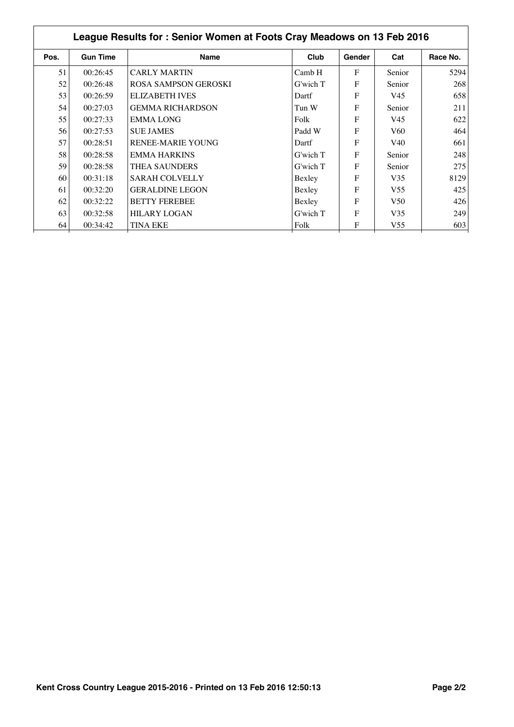| League Results for: Senior Women at Foots Cray Meadows on 13 Feb 2016 |                 |                             |               |              |                 |          |  |
|-----------------------------------------------------------------------|-----------------|-----------------------------|---------------|--------------|-----------------|----------|--|
| Pos.                                                                  | <b>Gun Time</b> | <b>Name</b>                 | Club          | Gender       | Cat             | Race No. |  |
| 51                                                                    | 00:26:45        | <b>CARLY MARTIN</b>         | Camb H        | $\mathbf{F}$ | Senior          | 5294     |  |
| 52                                                                    | 00:26:48        | <b>ROSA SAMPSON GEROSKI</b> | $G$ 'wich $T$ | F            | Senior          | 268      |  |
| 53                                                                    | 00:26:59        | <b>ELIZABETH IVES</b>       | Dartf         | F            | V45             | 658      |  |
| 54                                                                    | 00:27:03        | <b>GEMMA RICHARDSON</b>     | Tun W         | F            | Senior          | 211      |  |
| 55                                                                    | 00:27:33        | <b>EMMALONG</b>             | Folk          | F            | V45             | 622      |  |
| 56                                                                    | 00:27:53        | <b>SUE JAMES</b>            | Padd W        | F            | V60             | 464      |  |
| 57                                                                    | 00:28:51        | <b>RENEE-MARIE YOUNG</b>    | Dartf         | F            | V <sub>40</sub> | 661      |  |
| 58                                                                    | 00:28:58        | <b>EMMA HARKINS</b>         | G'wich T      | $\mathbf{F}$ | Senior          | 248      |  |
| 59                                                                    | 00:28:58        | <b>THEA SAUNDERS</b>        | G'wich T      | F            | Senior          | 275      |  |
| 60                                                                    | 00:31:18        | <b>SARAH COLVELLY</b>       | Bexley        | F            | V <sub>35</sub> | 8129     |  |
| 61                                                                    | 00:32:20        | <b>GERALDINE LEGON</b>      | Bexley        | F            | V <sub>55</sub> | 425      |  |
| 62                                                                    | 00:32:22        | <b>BETTY FEREBEE</b>        | Bexley        | F            | V50             | 426      |  |
| 63                                                                    | 00:32:58        | <b>HILARY LOGAN</b>         | $G$ 'wich $T$ | F            | V <sub>35</sub> | 249      |  |
| 64                                                                    | 00:34:42        | <b>TINA EKE</b>             | Folk          | F            | V <sub>55</sub> | 603      |  |